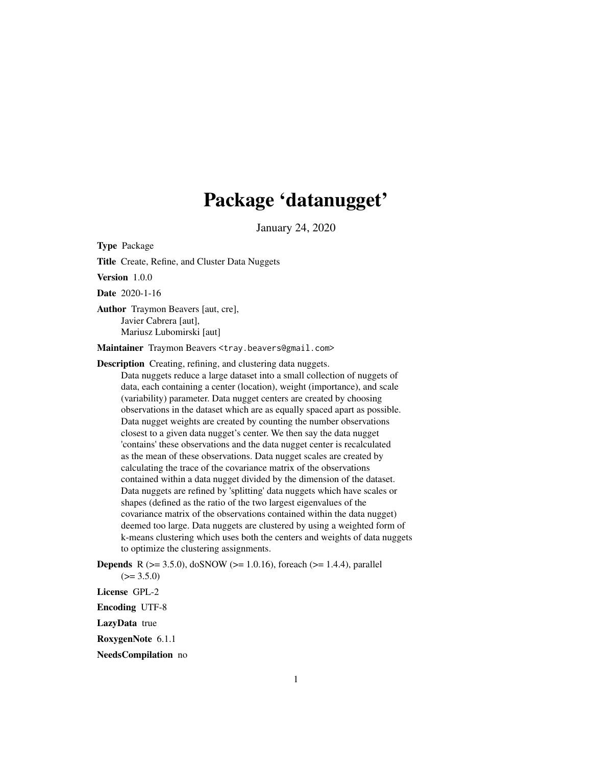## Package 'datanugget'

January 24, 2020

Type Package

Title Create, Refine, and Cluster Data Nuggets

Version 1.0.0

Date 2020-1-16

Author Traymon Beavers [aut, cre], Javier Cabrera [aut], Mariusz Lubomirski [aut]

Maintainer Traymon Beavers <tray.beavers@gmail.com>

Description Creating, refining, and clustering data nuggets.

Data nuggets reduce a large dataset into a small collection of nuggets of data, each containing a center (location), weight (importance), and scale (variability) parameter. Data nugget centers are created by choosing observations in the dataset which are as equally spaced apart as possible. Data nugget weights are created by counting the number observations closest to a given data nugget's center. We then say the data nugget 'contains' these observations and the data nugget center is recalculated as the mean of these observations. Data nugget scales are created by calculating the trace of the covariance matrix of the observations contained within a data nugget divided by the dimension of the dataset. Data nuggets are refined by 'splitting' data nuggets which have scales or shapes (defined as the ratio of the two largest eigenvalues of the covariance matrix of the observations contained within the data nugget) deemed too large. Data nuggets are clustered by using a weighted form of k-means clustering which uses both the centers and weights of data nuggets to optimize the clustering assignments.

**Depends** R ( $>= 3.5.0$ ), doSNOW ( $>= 1.0.16$ ), foreach ( $>= 1.4.4$ ), parallel  $(>= 3.5.0)$ 

License GPL-2

Encoding UTF-8

LazyData true

RoxygenNote 6.1.1

NeedsCompilation no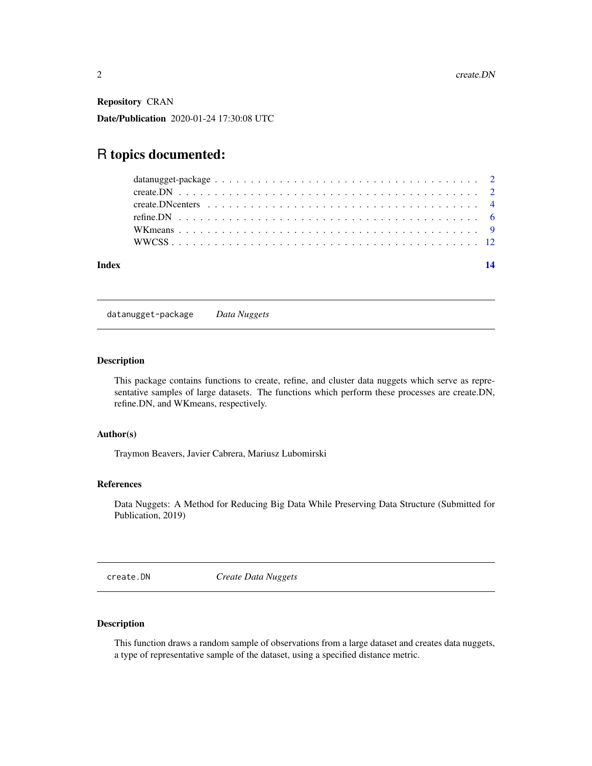<span id="page-1-0"></span>Repository CRAN

Date/Publication 2020-01-24 17:30:08 UTC

### R topics documented:

| Index |  |
|-------|--|
|       |  |
|       |  |
|       |  |
|       |  |
|       |  |
|       |  |

datanugget-package *Data Nuggets*

#### Description

This package contains functions to create, refine, and cluster data nuggets which serve as representative samples of large datasets. The functions which perform these processes are create.DN, refine.DN, and WKmeans, respectively.

#### Author(s)

Traymon Beavers, Javier Cabrera, Mariusz Lubomirski

#### References

Data Nuggets: A Method for Reducing Big Data While Preserving Data Structure (Submitted for Publication, 2019)

create.DN *Create Data Nuggets*

#### Description

This function draws a random sample of observations from a large dataset and creates data nuggets, a type of representative sample of the dataset, using a specified distance metric.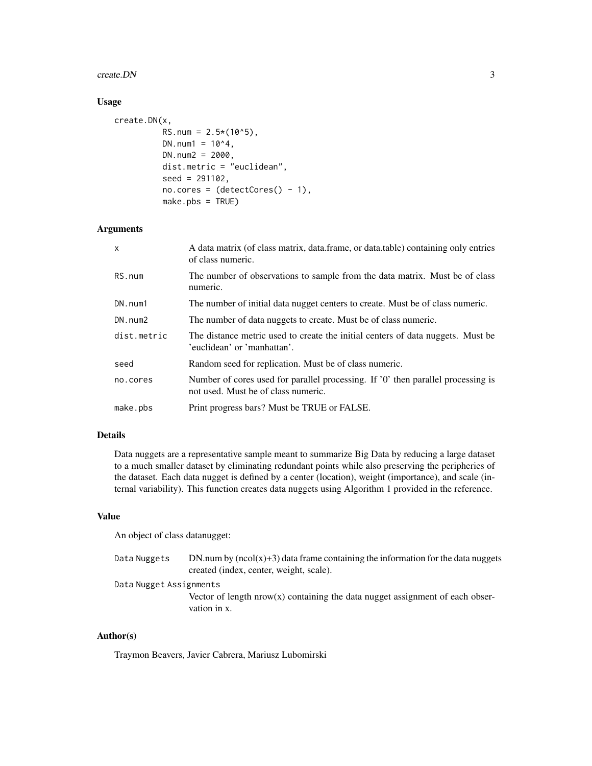#### create.DN 3

#### Usage

```
create.DN(x,
          RS.num = 2.5*(10^5),
          DN.num1 = 10^4,DN.num2 = 2000,dist.metric = "euclidean",
          seed = 291102,
          no.cores = (detectCores() - 1),make.pbs = TRUE)
```
#### Arguments

| $\mathsf{x}$ | A data matrix (of class matrix, data.frame, or data.table) containing only entries<br>of class numeric.                 |
|--------------|-------------------------------------------------------------------------------------------------------------------------|
| RS.num       | The number of observations to sample from the data matrix. Must be of class<br>numeric.                                 |
| DN.num1      | The number of initial data nugget centers to create. Must be of class numeric.                                          |
| DN.num2      | The number of data nuggets to create. Must be of class numeric.                                                         |
| dist.metric  | The distance metric used to create the initial centers of data nuggets. Must be<br>'euclidean' or 'manhattan'.          |
| seed         | Random seed for replication. Must be of class numeric.                                                                  |
| no.cores     | Number of cores used for parallel processing. If '0' then parallel processing is<br>not used. Must be of class numeric. |
| make.pbs     | Print progress bars? Must be TRUE or FALSE.                                                                             |

#### Details

Data nuggets are a representative sample meant to summarize Big Data by reducing a large dataset to a much smaller dataset by eliminating redundant points while also preserving the peripheries of the dataset. Each data nugget is defined by a center (location), weight (importance), and scale (internal variability). This function creates data nuggets using Algorithm 1 provided in the reference.

#### Value

An object of class datanugget:

| Data Nuggets            | DN.num by $(ncol(x)+3)$ data frame containing the information for the data nuggets<br>created (index, center, weight, scale). |
|-------------------------|-------------------------------------------------------------------------------------------------------------------------------|
| Data Nugget Assignments |                                                                                                                               |
|                         | Vector of length $nrow(x)$ containing the data nugget assignment of each obser-<br>vation in x.                               |

#### Author(s)

Traymon Beavers, Javier Cabrera, Mariusz Lubomirski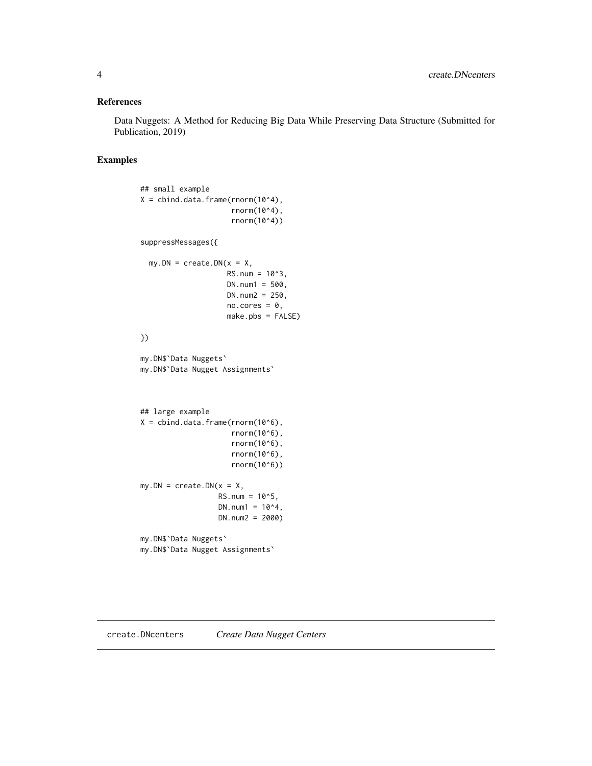#### <span id="page-3-0"></span>References

Data Nuggets: A Method for Reducing Big Data While Preserving Data Structure (Submitted for Publication, 2019)

#### Examples

```
## small example
X = \text{cbind.data}.frame(rnorm(10^4),
                      rnorm(10^4),
                      rnorm(10^4))
suppressMessages({
  my.DN = create.DN(x = X,RS.num = 10^3,
                    DN.num1 = 500,DN.num2 = 250,
                    no.cores = 0,
                     make.pbs = FALSE)
})
my.DN$`Data Nuggets`
my.DN$`Data Nugget Assignments`
## large example
X = \text{cbind.data}.frame(rnorm(10^6),
                      rnorm(10^6),
                      rnorm(10^6),
                      rnorm(10^6),
                      rnorm(10^6))
my.DN = create.DN(x = X,RS.num = 10^5,
                  DN.num1 = 10^{4},
                  DN.num2 = 2000)
my.DN$`Data Nuggets`
my.DN$`Data Nugget Assignments`
```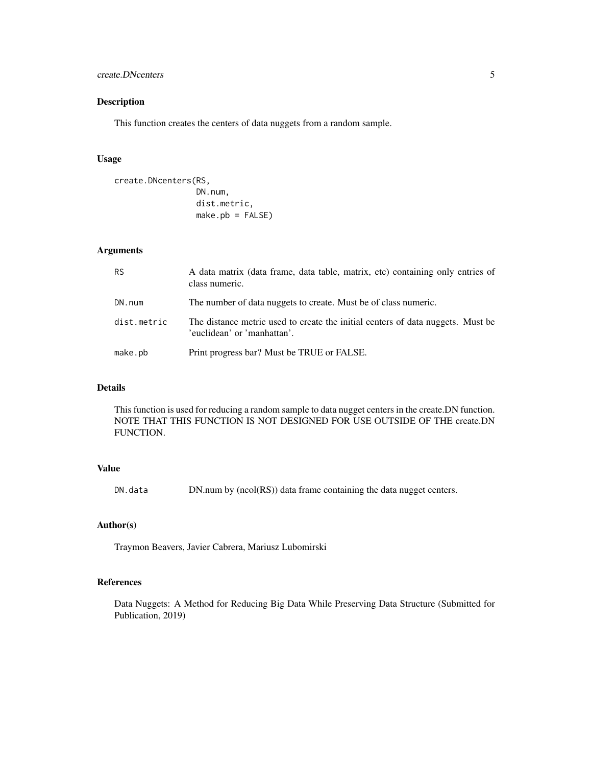#### create.DNcenters 5

#### Description

This function creates the centers of data nuggets from a random sample.

#### Usage

```
create.DNcenters(RS,
                 DN.num,
                 dist.metric,
                 make.pb = FALSE)
```
#### Arguments

| <b>RS</b>   | A data matrix (data frame, data table, matrix, etc) containing only entries of<br>class numeric.               |
|-------------|----------------------------------------------------------------------------------------------------------------|
| DN.num      | The number of data nuggets to create. Must be of class numeric.                                                |
| dist.metric | The distance metric used to create the initial centers of data nuggets. Must be<br>'euclidean' or 'manhattan'. |
| make.pb     | Print progress bar? Must be TRUE or FALSE.                                                                     |

#### Details

This function is used for reducing a random sample to data nugget centers in the create.DN function. NOTE THAT THIS FUNCTION IS NOT DESIGNED FOR USE OUTSIDE OF THE create.DN FUNCTION.

#### Value

DN.data DN.num by (ncol(RS)) data frame containing the data nugget centers.

#### Author(s)

Traymon Beavers, Javier Cabrera, Mariusz Lubomirski

#### References

Data Nuggets: A Method for Reducing Big Data While Preserving Data Structure (Submitted for Publication, 2019)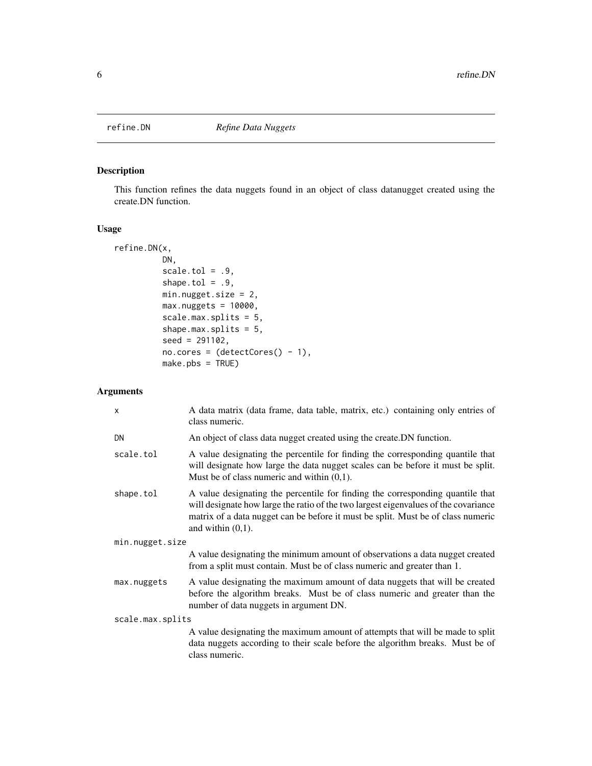<span id="page-5-0"></span>

#### Description

This function refines the data nuggets found in an object of class datanugget created using the create.DN function.

#### Usage

```
refine.DN(x,
         DN,
         scale.tol = .9,
         shape.tol = .9,
         min.nugget.size = 2,
         max.nuggets = 10000,
         scale.max.splits = 5,
         shape.max.splits = 5,
         seed = 291102,
         no.cores = (detectCores() - 1),make.pbs = TRUE)
```
#### Arguments

| $\times$         | A data matrix (data frame, data table, matrix, etc.) containing only entries of<br>class numeric.                                                                                                                                                                                 |
|------------------|-----------------------------------------------------------------------------------------------------------------------------------------------------------------------------------------------------------------------------------------------------------------------------------|
| DN               | An object of class data nugget created using the create. DN function.                                                                                                                                                                                                             |
| scale.tol        | A value designating the percentile for finding the corresponding quantile that<br>will designate how large the data nugget scales can be before it must be split.<br>Must be of class numeric and within $(0,1)$ .                                                                |
| shape.tol        | A value designating the percentile for finding the corresponding quantile that<br>will designate how large the ratio of the two largest eigenvalues of the covariance<br>matrix of a data nugget can be before it must be split. Must be of class numeric<br>and within $(0,1)$ . |
| min.nugget.size  |                                                                                                                                                                                                                                                                                   |
|                  | A value designating the minimum amount of observations a data nugget created<br>from a split must contain. Must be of class numeric and greater than 1.                                                                                                                           |
| max.nuggets      | A value designating the maximum amount of data nuggets that will be created<br>before the algorithm breaks. Must be of class numeric and greater than the<br>number of data nuggets in argument DN.                                                                               |
| scale.max.splits |                                                                                                                                                                                                                                                                                   |
|                  | A value designating the maximum amount of attempts that will be made to split<br>data nuggets according to their scale before the algorithm breaks. Must be of<br>class numeric.                                                                                                  |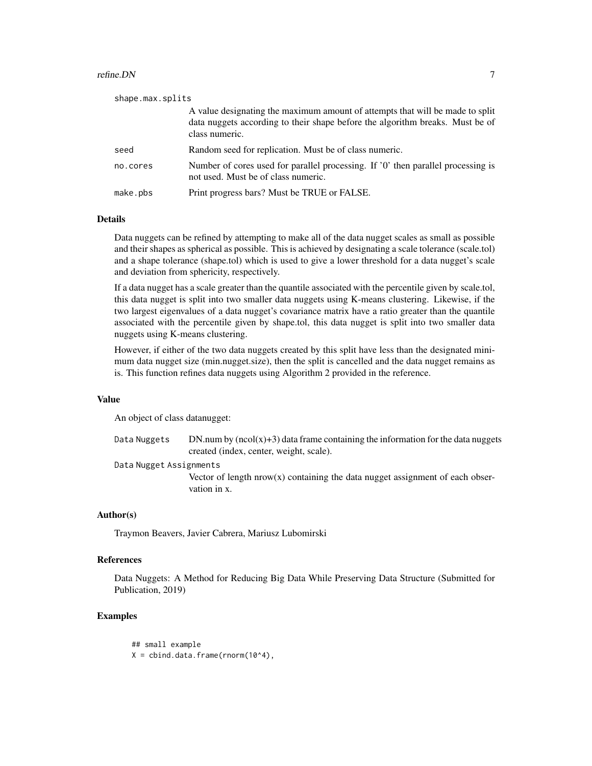#### refine.DN 7

| class numeric.<br>Random seed for replication. Must be of class numeric.<br>seed<br>no.cores<br>not used. Must be of class numeric.<br>Print progress bars? Must be TRUE or FALSE.<br>make.pbs | shape.max.splits |                                                                                                                                                                |
|------------------------------------------------------------------------------------------------------------------------------------------------------------------------------------------------|------------------|----------------------------------------------------------------------------------------------------------------------------------------------------------------|
|                                                                                                                                                                                                |                  | A value designating the maximum amount of attempts that will be made to split<br>data nuggets according to their shape before the algorithm breaks. Must be of |
|                                                                                                                                                                                                |                  |                                                                                                                                                                |
|                                                                                                                                                                                                |                  | Number of cores used for parallel processing. If '0' then parallel processing is                                                                               |
|                                                                                                                                                                                                |                  |                                                                                                                                                                |

#### Details

Data nuggets can be refined by attempting to make all of the data nugget scales as small as possible and their shapes as spherical as possible. This is achieved by designating a scale tolerance (scale.tol) and a shape tolerance (shape.tol) which is used to give a lower threshold for a data nugget's scale and deviation from sphericity, respectively.

If a data nugget has a scale greater than the quantile associated with the percentile given by scale.tol, this data nugget is split into two smaller data nuggets using K-means clustering. Likewise, if the two largest eigenvalues of a data nugget's covariance matrix have a ratio greater than the quantile associated with the percentile given by shape.tol, this data nugget is split into two smaller data nuggets using K-means clustering.

However, if either of the two data nuggets created by this split have less than the designated minimum data nugget size (min.nugget.size), then the split is cancelled and the data nugget remains as is. This function refines data nuggets using Algorithm 2 provided in the reference.

#### Value

An object of class datanugget:

Data Nuggets DN.num by  $(ncol(x)+3)$  data frame containing the information for the data nuggets created (index, center, weight, scale).

#### Data Nugget Assignments

Vector of length  $nrow(x)$  containing the data nugget assignment of each observation in x.

#### Author(s)

Traymon Beavers, Javier Cabrera, Mariusz Lubomirski

#### References

Data Nuggets: A Method for Reducing Big Data While Preserving Data Structure (Submitted for Publication, 2019)

#### Examples

## small example  $X = \text{cbind.data}$ .frame(rnorm(10^4),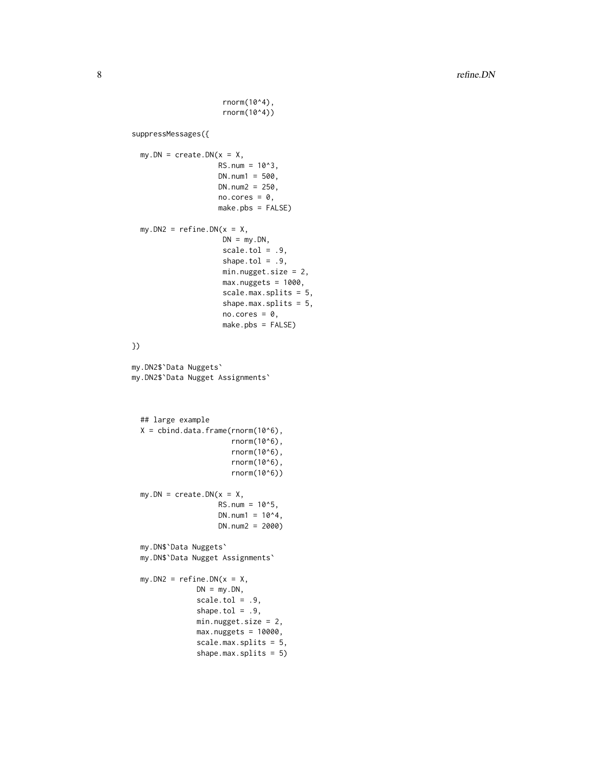rnorm(10^4), rnorm(10^4)) suppressMessages({  $my.DN = create.DN(x = X,$  $RS.num = 10^3,$  $DN.num1 = 500,$  $DN.num2 = 250$ , no.cores =  $\theta$ , make.pbs = FALSE) my.DN2 =  $refine.DN(x = X,$  $DN = my.DN,$ scale.tol =  $.9$ , shape.tol =  $.9$ , min.nugget.size = 2, max.nuggets = 1000, scale.max.splits = 5, shape.max.splits = 5,  $no.cores = 0,$ make.pbs = FALSE) }) my.DN2\$`Data Nuggets` my.DN2\$`Data Nugget Assignments` ## large example  $X = \text{cbind.data}$ .frame(rnorm(10^6), rnorm(10^6), rnorm(10^6), rnorm(10^6), rnorm(10^6))  $my.DN = create.DN(x = X,$  $RS.num = 10<sup>0</sup>5,$  $DN.num1 = 10^{4}4$ , DN.num2 = 2000) my.DN\$`Data Nuggets` my.DN\$`Data Nugget Assignments` my.DN2 =  $refine.DN(x = X,$  $DN = my.DN,$  $scale.tol = .9,$ shape.tol =  $.9$ , min.nugget.size = 2, max.nuggets = 10000, scale.max.splits = 5, shape.max.splits = 5)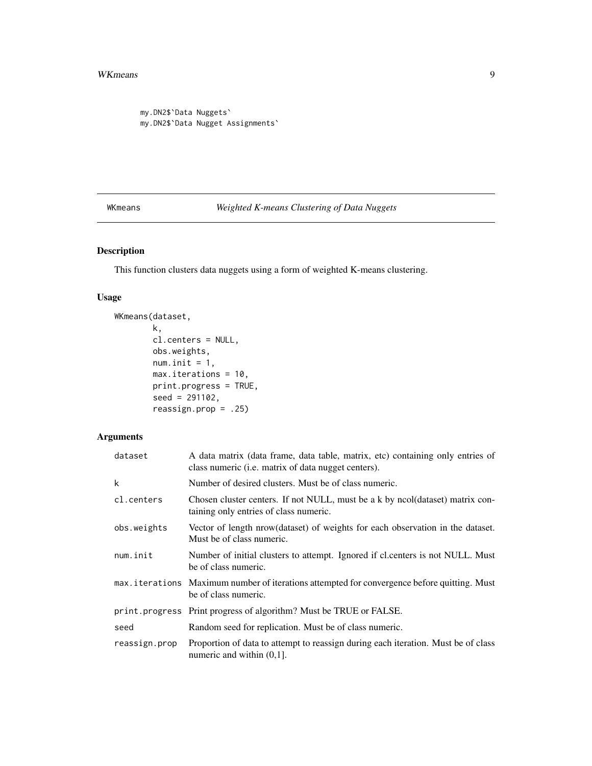#### <span id="page-8-0"></span>WKmeans 9

```
my.DN2$`Data Nuggets`
my.DN2$`Data Nugget Assignments`
```
WKmeans *Weighted K-means Clustering of Data Nuggets*

#### Description

This function clusters data nuggets using a form of weighted K-means clustering.

#### Usage

```
WKmeans(dataset,
        k,
        cl.centers = NULL,
        obs.weights,
        num.init = 1,
        max.iterations = 10,
        print.progress = TRUE,
        seed = 291102,
        reassign.prop = .25)
```
#### Arguments

| dataset       | A data matrix (data frame, data table, matrix, etc) containing only entries of<br>class numeric ( <i>i.e.</i> matrix of data nugget centers). |
|---------------|-----------------------------------------------------------------------------------------------------------------------------------------------|
| k             | Number of desired clusters. Must be of class numeric.                                                                                         |
| cl.centers    | Chosen cluster centers. If not NULL, must be a k by ncol(dataset) matrix con-<br>taining only entries of class numeric.                       |
| obs.weights   | Vector of length nrow(dataset) of weights for each observation in the dataset.<br>Must be of class numeric.                                   |
| num.init      | Number of initial clusters to attempt. Ignored if cl. centers is not NULL. Must<br>be of class numeric.                                       |
|               | max. i terations Maximum number of iterations attempted for convergence before quitting. Must<br>be of class numeric.                         |
|               | print.progress Print progress of algorithm? Must be TRUE or FALSE.                                                                            |
| seed          | Random seed for replication. Must be of class numeric.                                                                                        |
| reassign.prop | Proportion of data to attempt to reassign during each iteration. Must be of class<br>numeric and within $(0,1]$ .                             |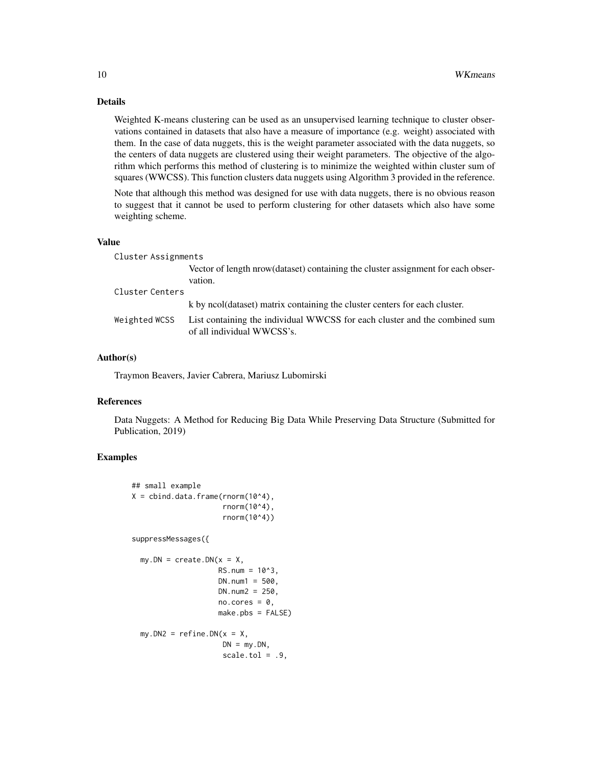#### Details

Weighted K-means clustering can be used as an unsupervised learning technique to cluster observations contained in datasets that also have a measure of importance (e.g. weight) associated with them. In the case of data nuggets, this is the weight parameter associated with the data nuggets, so the centers of data nuggets are clustered using their weight parameters. The objective of the algorithm which performs this method of clustering is to minimize the weighted within cluster sum of squares (WWCSS). This function clusters data nuggets using Algorithm 3 provided in the reference.

Note that although this method was designed for use with data nuggets, there is no obvious reason to suggest that it cannot be used to perform clustering for other datasets which also have some weighting scheme.

#### Value

| Cluster Assignments |                                                                                                          |
|---------------------|----------------------------------------------------------------------------------------------------------|
|                     | Vector of length nrow(dataset) containing the cluster assignment for each obser-<br>vation.              |
| Cluster Centers     |                                                                                                          |
|                     | k by ncol(dataset) matrix containing the cluster centers for each cluster.                               |
| Weighted WCSS       | List containing the individual WWCSS for each cluster and the combined sum<br>of all individual WWCSS's. |

#### Author(s)

Traymon Beavers, Javier Cabrera, Mariusz Lubomirski

#### References

Data Nuggets: A Method for Reducing Big Data While Preserving Data Structure (Submitted for Publication, 2019)

#### Examples

```
## small example
X = \text{cbind.data}. frame(rnorm(10^4),
                      rnorm(10^4),
                      rnorm(10^4))
suppressMessages({
  my.DN = create.DN(x = X,RS.num = 10<sup>0</sup>3,
                     DN.num1 = 500,
                     DN.num2 = 250,
                     no.cores = 0,make.pbs = FALSE)
  my.DN2 = refine.DN(x = X,DN = my.DN,scale.tol = .9,
```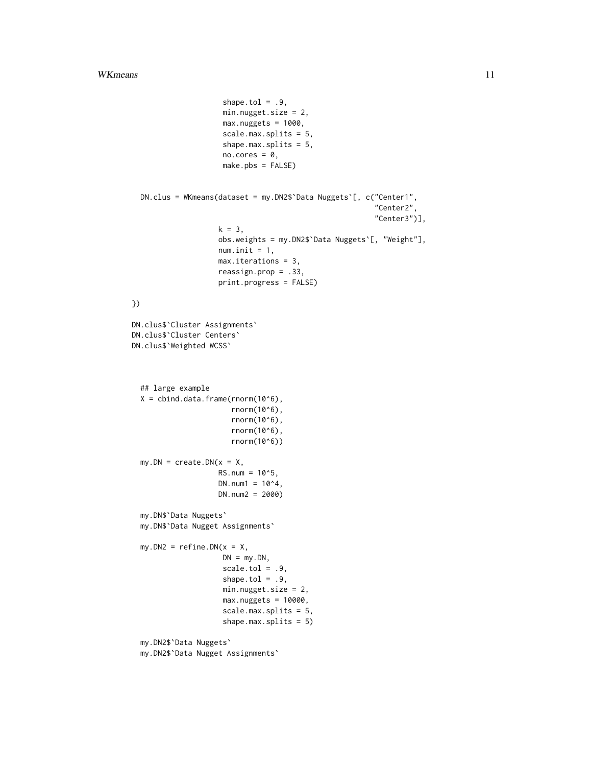```
shape.tol = .9,
                     min.nugget.size = 2,
                     max.nuggets = 1000,
                     scale.max.splits = 5,
                     shape.max.splits = 5,
                     no.cores = 0,make.pbs = FALSE)
  DN.clus = WKmeans(dataset = my.DN2$`Data Nuggets`[, c("Center1",
                                                          "Center2",
                                                          "Center3")],
                    k = 3,obs.weights = my.DN2$`Data Nuggets`[, "Weight"],
                    num.init = 1,max.iterations = 3,
                    reassign.prop = .33,
                    print.progress = FALSE)
})
DN.clus$`Cluster Assignments`
DN.clus$`Cluster Centers`
DN.clus$`Weighted WCSS`
  ## large example
  X = \text{cbind.data}. frame(rnorm(10^6),
                       rnorm(10^6),
                       rnorm(10^6),
                       rnorm(10^6),
                       rnorm(10^6))
  my.DN = create.DN(x = X,RS.num = 10<sup>0</sup>5,DN.num1 = 10^{4}.DN.num2 = 2000)
  my.DN$`Data Nuggets`
  my.DN$`Data Nugget Assignments`
  my.DN2 = refine.DN(x = X,DN = my.DN,scale.tol = .9,shape.tol = .9,
                     min.nugget.size = 2,
                     max.nuggests = 10000,scale.max.splits = 5,
                     shape.max.splits = 5)
  my.DN2$`Data Nuggets`
  my.DN2$`Data Nugget Assignments`
```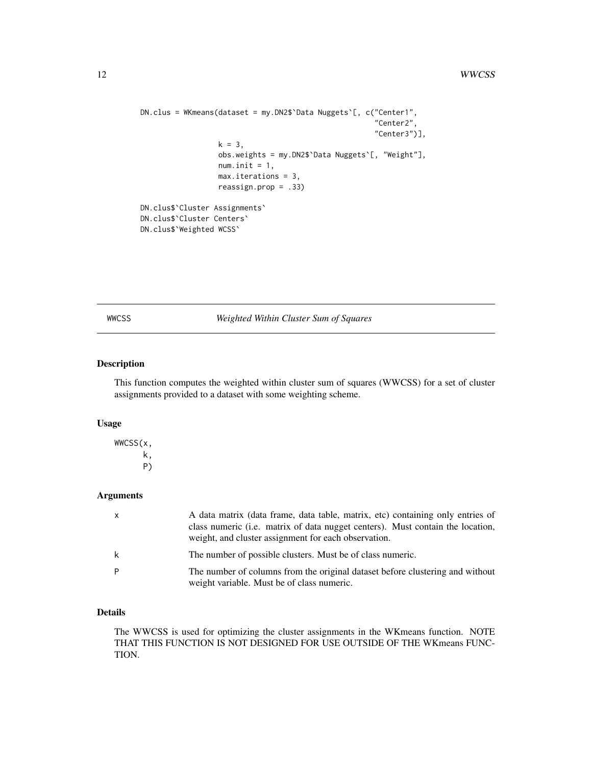```
DN.clus = WKmeans(dataset = my.DN2$`Data Nuggets`[, c("Center1",
                                                      "Center2",
                                                      "Center3")],
                  k = 3,obs.weights = my.DN2$`Data Nuggets`[, "Weight"],
                  num.init = 1,max.iterations = 3,
                  reassign.prop = .33)
DN.clus$`Cluster Assignments`
DN.clus$`Cluster Centers`
DN.clus$`Weighted WCSS`
```
WWCSS *Weighted Within Cluster Sum of Squares*

#### Description

This function computes the weighted within cluster sum of squares (WWCSS) for a set of cluster assignments provided to a dataset with some weighting scheme.

#### Usage

WWCSS(x, k, P)

#### Arguments

| $\mathsf{x}$ | A data matrix (data frame, data table, matrix, etc) containing only entries of                                              |
|--------------|-----------------------------------------------------------------------------------------------------------------------------|
|              | class numeric (i.e. matrix of data nugget centers). Must contain the location,                                              |
|              | weight, and cluster assignment for each observation.                                                                        |
| k            | The number of possible clusters. Must be of class numeric.                                                                  |
| P            | The number of columns from the original dataset before clustering and without<br>weight variable. Must be of class numeric. |

#### Details

The WWCSS is used for optimizing the cluster assignments in the WKmeans function. NOTE THAT THIS FUNCTION IS NOT DESIGNED FOR USE OUTSIDE OF THE WKmeans FUNC-TION.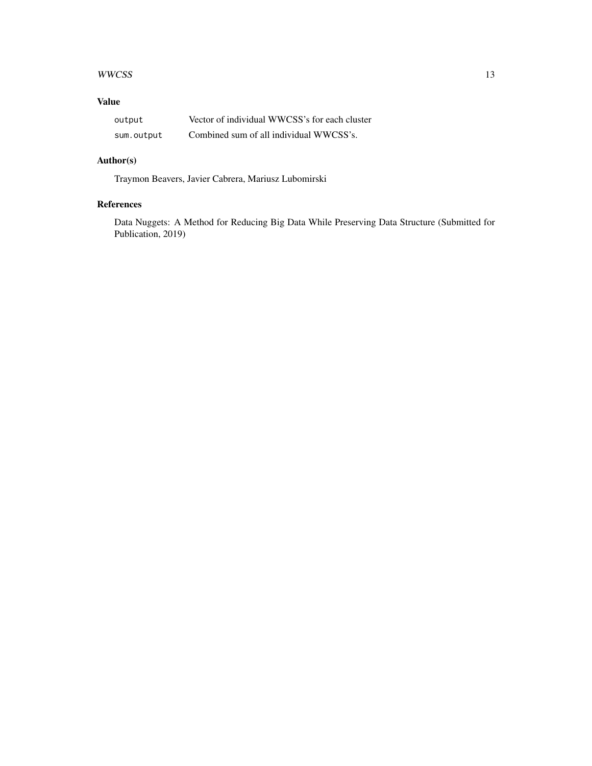#### WWCSS 23

#### Value

| output     | Vector of individual WWCSS's for each cluster |
|------------|-----------------------------------------------|
| sum.output | Combined sum of all individual WWCSS's.       |

#### Author(s)

Traymon Beavers, Javier Cabrera, Mariusz Lubomirski

#### References

Data Nuggets: A Method for Reducing Big Data While Preserving Data Structure (Submitted for Publication, 2019)